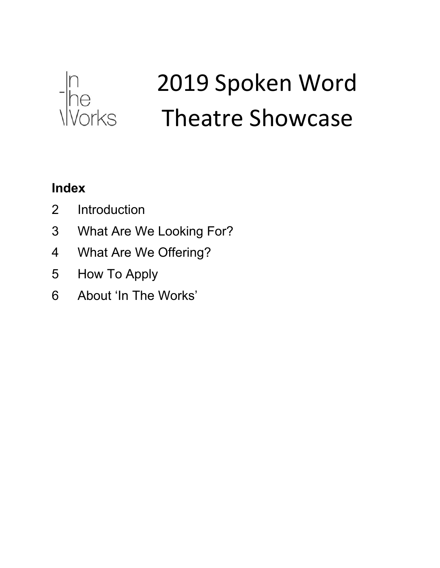

# 2019 Spoken Word Theatre Showcase

### **Index**

- Introduction
- What Are We Looking For?
- What Are We Offering?
- How To Apply
- About 'In The Works'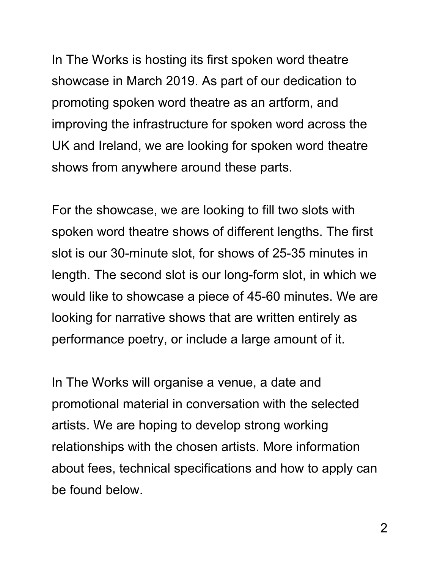In The Works is hosting its first spoken word theatre showcase in March 2019. As part of our dedication to promoting spoken word theatre as an artform, and improving the infrastructure for spoken word across the UK and Ireland, we are looking for spoken word theatre shows from anywhere around these parts.

For the showcase, we are looking to fill two slots with spoken word theatre shows of different lengths. The first slot is our 30-minute slot, for shows of 25-35 minutes in length. The second slot is our long-form slot, in which we would like to showcase a piece of 45-60 minutes. We are looking for narrative shows that are written entirely as performance poetry, or include a large amount of it.

In The Works will organise a venue, a date and promotional material in conversation with the selected artists. We are hoping to develop strong working relationships with the chosen artists. More information about fees, technical specifications and how to apply can be found below.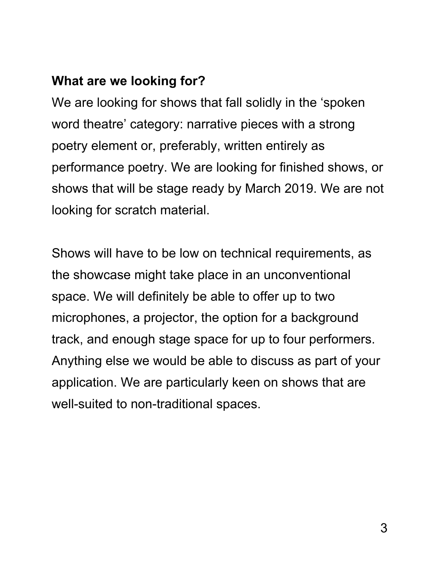### **What are we looking for?**

We are looking for shows that fall solidly in the 'spoken word theatre' category: narrative pieces with a strong poetry element or, preferably, written entirely as performance poetry. We are looking for finished shows, or shows that will be stage ready by March 2019. We are not looking for scratch material.

Shows will have to be low on technical requirements, as the showcase might take place in an unconventional space. We will definitely be able to offer up to two microphones, a projector, the option for a background track, and enough stage space for up to four performers. Anything else we would be able to discuss as part of your application. We are particularly keen on shows that are well-suited to non-traditional spaces.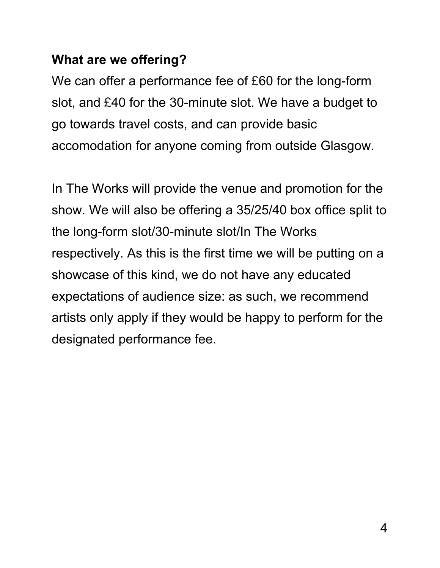#### **What are we offering?**

We can offer a performance fee of £60 for the long-form slot, and £40 for the 30-minute slot. We have a budget to go towards travel costs, and can provide basic accomodation for anyone coming from outside Glasgow.

In The Works will provide the venue and promotion for the show. We will also be offering a 35/25/40 box office split to the long-form slot/30-minute slot/In The Works respectively. As this is the first time we will be putting on a showcase of this kind, we do not have any educated expectations of audience size: as such, we recommend artists only apply if they would be happy to perform for the designated performance fee.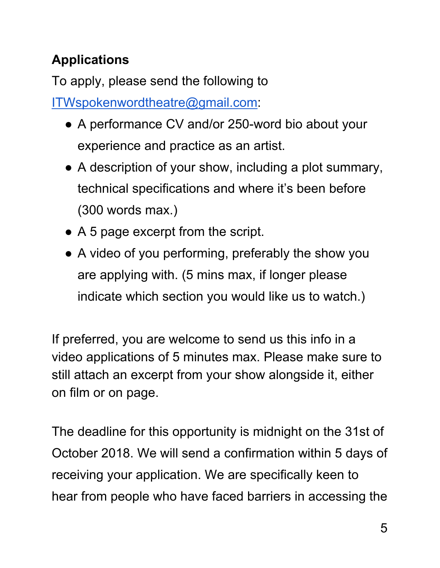## **Applications**

To apply, please send the following to

[ITWspokenwordtheatre@gmail.com](mailto:ITWspokenwordtheatre@gmail.com):

- A performance CV and/or 250-word bio about your experience and practice as an artist.
- A description of your show, including a plot summary, technical specifications and where it's been before (300 words max.)
- A 5 page excerpt from the script.
- A video of you performing, preferably the show you are applying with. (5 mins max, if longer please indicate which section you would like us to watch.)

If preferred, you are welcome to send us this info in a video applications of 5 minutes max. Please make sure to still attach an excerpt from your show alongside it, either on film or on page.

The deadline for this opportunity is midnight on the 31st of October 2018. We will send a confirmation within 5 days of receiving your application. We are specifically keen to hear from people who have faced barriers in accessing the